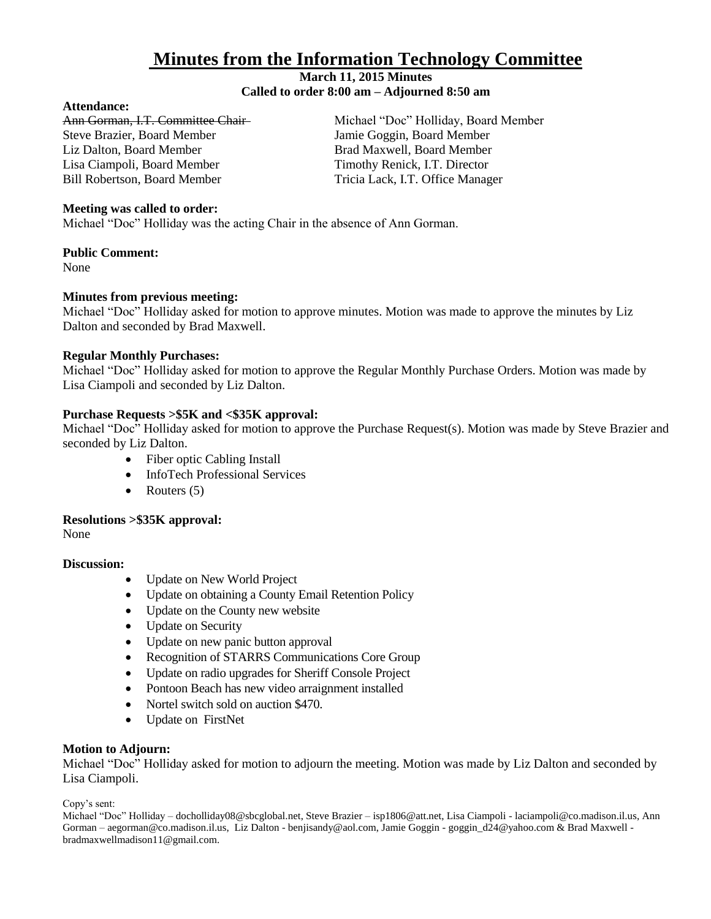# **Minutes from the Information Technology Committee**

# **March 11, 2015 Minutes**

# **Called to order 8:00 am – Adjourned 8:50 am**

# **Attendance:**

Steve Brazier, Board Member Jamie Goggin, Board Member Liz Dalton, Board Member **Brad Maxwell**, Board Member Lisa Ciampoli, Board Member Timothy Renick, I.T. Director Bill Robertson, Board Member Tricia Lack, I.T. Office Manager

Ann Gorman, I.T. Committee Chair-<br>Michael "Doc" Holliday, Board Member

## **Meeting was called to order:**

Michael "Doc" Holliday was the acting Chair in the absence of Ann Gorman.

## **Public Comment:**

None

# **Minutes from previous meeting:**

Michael "Doc" Holliday asked for motion to approve minutes. Motion was made to approve the minutes by Liz Dalton and seconded by Brad Maxwell.

# **Regular Monthly Purchases:**

Michael "Doc" Holliday asked for motion to approve the Regular Monthly Purchase Orders. Motion was made by Lisa Ciampoli and seconded by Liz Dalton.

# **Purchase Requests >\$5K and <\$35K approval:**

Michael "Doc" Holliday asked for motion to approve the Purchase Request(s). Motion was made by Steve Brazier and seconded by Liz Dalton.

- Fiber optic Cabling Install
- InfoTech Professional Services
- Routers  $(5)$

## **Resolutions >\$35K approval:**

None

## **Discussion:**

- Update on New World Project
- Update on obtaining a County Email Retention Policy
- Update on the County new website
- Update on Security
- Update on new panic button approval
- Recognition of STARRS Communications Core Group
- Update on radio upgrades for Sheriff Console Project
- Pontoon Beach has new video arraignment installed
- Nortel switch sold on auction \$470.
- Update on FirstNet

## **Motion to Adjourn:**

Michael "Doc" Holliday asked for motion to adjourn the meeting. Motion was made by Liz Dalton and seconded by Lisa Ciampoli.

Copy's sent:

Michael "Doc" Holliday – docholliday08@sbcglobal.net, Steve Brazier – isp1806@att.net, Lisa Ciampoli - laciampoli@co.madison.il.us, Ann Gorman – aegorman@co.madison.il.us, Liz Dalton - benjisandy@aol.com, Jamie Goggin - goggin\_d24@yahoo.com & Brad Maxwell bradmaxwellmadison11@gmail.com.